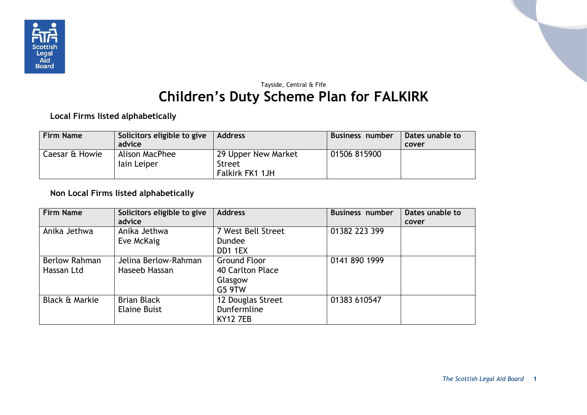

## Tayside, Central & Fife **Children's Duty Scheme Plan for FALKIRK**

**Local Firms listed alphabetically**

| <b>Firm Name</b> | Solicitors eligible to give<br>advice | <b>Address</b>                                   | Business number | Dates unable to<br>cover |
|------------------|---------------------------------------|--------------------------------------------------|-----------------|--------------------------|
| Caesar & Howie   | Alison MacPhee<br>lain Leiper         | 29 Upper New Market<br>Street<br>Falkirk FK1 1JH | 01506 815900    |                          |

## **Non Local Firms listed alphabetically**

| <b>Firm Name</b>                   | Solicitors eligible to give<br>advice     | <b>Address</b>                                               | <b>Business number</b> | Dates unable to<br>cover |
|------------------------------------|-------------------------------------------|--------------------------------------------------------------|------------------------|--------------------------|
| Anika Jethwa                       | Anika Jethwa<br>Eve McKaig                | 7 West Bell Street<br><b>Dundee</b><br>DD1 1EX               | 01382 223 399          |                          |
| <b>Berlow Rahman</b><br>Hassan Ltd | Jelina Berlow-Rahman<br>Haseeb Hassan     | <b>Ground Floor</b><br>40 Carlton Place<br>Glasgow<br>G5 9TW | 0141 890 1999          |                          |
| <b>Black &amp; Markie</b>          | <b>Brian Black</b><br><b>Elaine Buist</b> | 12 Douglas Street<br>Dunfermline<br><b>KY12 7EB</b>          | 01383 610547           |                          |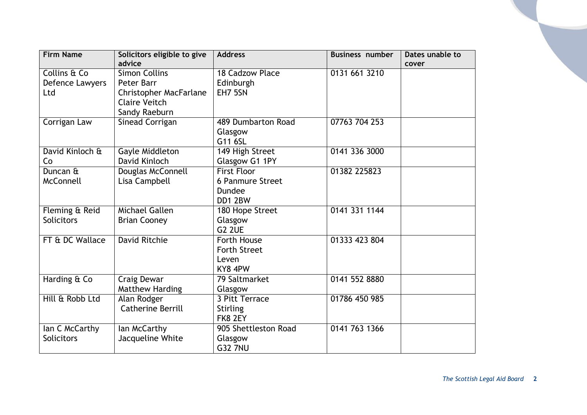| <b>Firm Name</b>  | Solicitors eligible to give<br>advice | <b>Address</b>          | <b>Business number</b> | Dates unable to<br>cover |
|-------------------|---------------------------------------|-------------------------|------------------------|--------------------------|
| Collins & Co      | <b>Simon Collins</b>                  | 18 Cadzow Place         | 0131 661 3210          |                          |
| Defence Lawyers   | Peter Barr                            | Edinburgh               |                        |                          |
| Ltd               | <b>Christopher MacFarlane</b>         | EH7 5SN                 |                        |                          |
|                   | <b>Claire Veitch</b>                  |                         |                        |                          |
|                   | Sandy Raeburn                         |                         |                        |                          |
| Corrigan Law      | Sinead Corrigan                       | 489 Dumbarton Road      | 07763 704 253          |                          |
|                   |                                       | Glasgow                 |                        |                          |
|                   |                                       | G11 6SL                 |                        |                          |
| David Kinloch &   | Gayle Middleton                       | 149 High Street         | 0141 336 3000          |                          |
| Co                | David Kinloch                         | Glasgow G1 1PY          |                        |                          |
| Duncan &          | Douglas McConnell                     | <b>First Floor</b>      | 01382 225823           |                          |
| McConnell         | Lisa Campbell                         | <b>6 Panmure Street</b> |                        |                          |
|                   |                                       | Dundee                  |                        |                          |
|                   |                                       | DD1 2BW                 |                        |                          |
| Fleming & Reid    | <b>Michael Gallen</b>                 | 180 Hope Street         | 0141 331 1144          |                          |
| <b>Solicitors</b> | <b>Brian Cooney</b>                   | Glasgow                 |                        |                          |
|                   |                                       | G <sub>2</sub> 2UE      |                        |                          |
| FT & DC Wallace   | <b>David Ritchie</b>                  | <b>Forth House</b>      | 01333 423 804          |                          |
|                   |                                       | <b>Forth Street</b>     |                        |                          |
|                   |                                       | Leven                   |                        |                          |
|                   |                                       | KY8 4PW                 |                        |                          |
| Harding & Co      | Craig Dewar                           | 79 Saltmarket           | 0141 552 8880          |                          |
|                   | <b>Matthew Harding</b>                | Glasgow                 |                        |                          |
| Hill & Robb Ltd   | Alan Rodger                           | 3 Pitt Terrace          | 01786 450 985          |                          |
|                   | <b>Catherine Berrill</b>              | <b>Stirling</b>         |                        |                          |
|                   |                                       | FK8 2EY                 |                        |                          |
| Ian C McCarthy    | lan McCarthy                          | 905 Shettleston Road    | 0141 763 1366          |                          |
| Solicitors        | Jacqueline White                      | Glasgow                 |                        |                          |
|                   |                                       | <b>G32 7NU</b>          |                        |                          |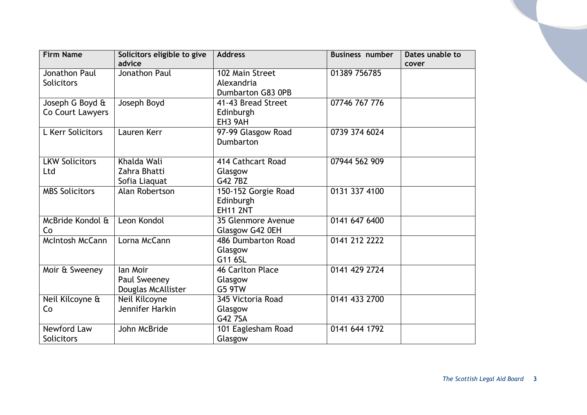| <b>Firm Name</b>       | Solicitors eligible to give | <b>Address</b>          | <b>Business number</b> | Dates unable to |
|------------------------|-----------------------------|-------------------------|------------------------|-----------------|
|                        | advice                      |                         |                        | cover           |
| <b>Jonathon Paul</b>   | Jonathon Paul               | 102 Main Street         | 01389 756785           |                 |
| <b>Solicitors</b>      |                             | Alexandria              |                        |                 |
|                        |                             | Dumbarton G83 0PB       |                        |                 |
| Joseph G Boyd &        | Joseph Boyd                 | 41-43 Bread Street      | 07746 767 776          |                 |
| Co Court Lawyers       |                             | Edinburgh               |                        |                 |
|                        |                             | EH3 9AH                 |                        |                 |
| L Kerr Solicitors      | Lauren Kerr                 | 97-99 Glasgow Road      | 0739 374 6024          |                 |
|                        |                             | <b>Dumbarton</b>        |                        |                 |
|                        |                             |                         |                        |                 |
| <b>LKW Solicitors</b>  | Khalda Wali                 | 414 Cathcart Road       | 07944 562 909          |                 |
| Ltd                    | Zahra Bhatti                | Glasgow                 |                        |                 |
|                        | Sofia Liaquat               | G42 7BZ                 |                        |                 |
| <b>MBS Solicitors</b>  | Alan Robertson              | 150-152 Gorgie Road     | 0131 337 4100          |                 |
|                        |                             | Edinburgh               |                        |                 |
|                        |                             | <b>EH11 2NT</b>         |                        |                 |
| McBride Kondol &       | Leon Kondol                 | 35 Glenmore Avenue      | 0141 647 6400          |                 |
| Co                     |                             | Glasgow G42 0EH         |                        |                 |
| <b>McIntosh McCann</b> | Lorna McCann                | 486 Dumbarton Road      | 0141 212 2222          |                 |
|                        |                             | Glasgow                 |                        |                 |
|                        |                             | G11 6SL                 |                        |                 |
| Moir & Sweeney         | lan Moir                    | <b>46 Carlton Place</b> | 0141 429 2724          |                 |
|                        | Paul Sweeney                | Glasgow                 |                        |                 |
|                        | Douglas McAllister          | G5 9TW                  |                        |                 |
| Neil Kilcoyne &        | Neil Kilcoyne               | 345 Victoria Road       | 0141 433 2700          |                 |
| Co                     | Jennifer Harkin             | Glasgow                 |                        |                 |
|                        |                             | G42 7SA                 |                        |                 |
| Newford Law            | John McBride                | 101 Eaglesham Road      | 0141 644 1792          |                 |
| Solicitors             |                             | Glasgow                 |                        |                 |